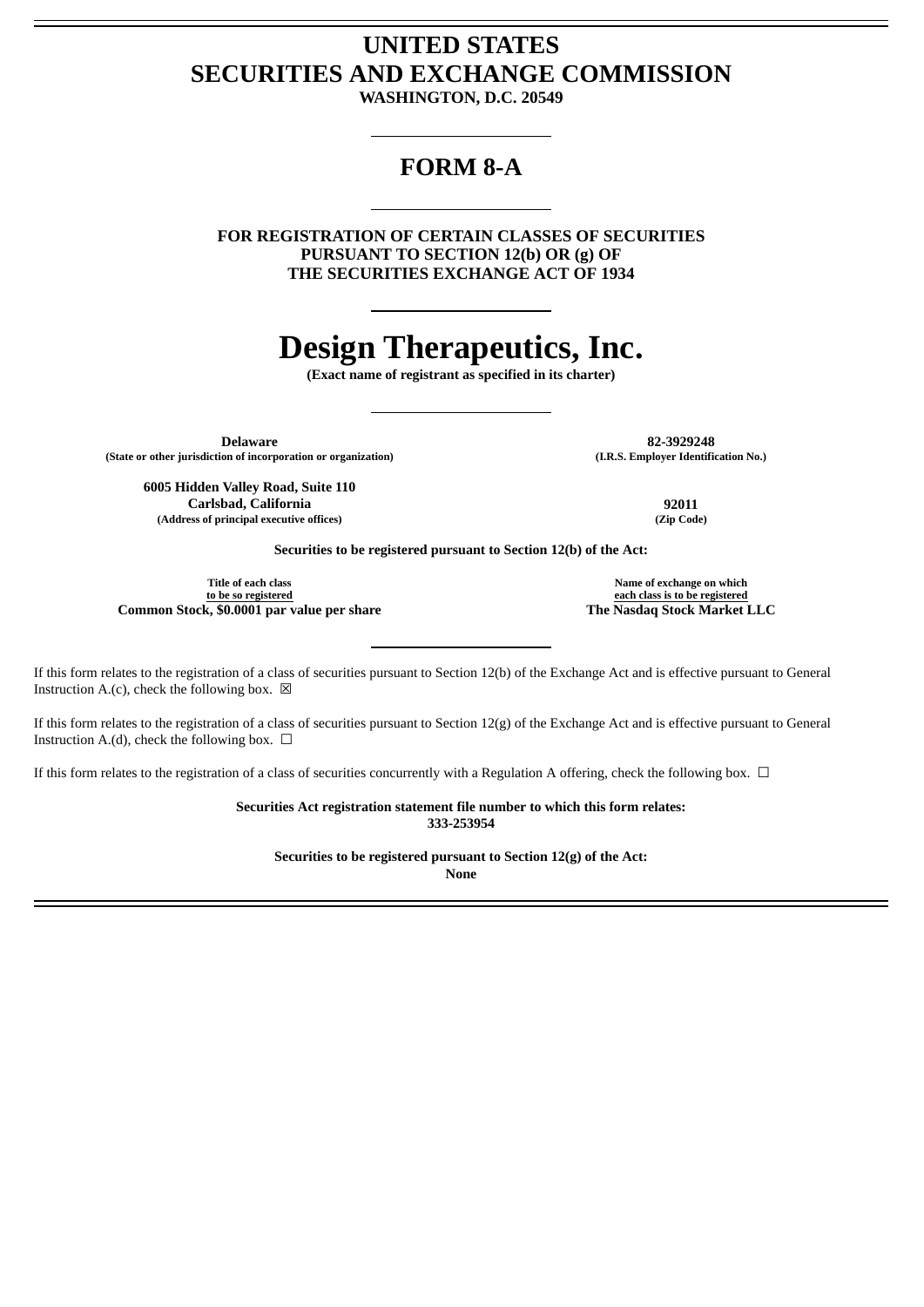## **UNITED STATES SECURITIES AND EXCHANGE COMMISSION**

**WASHINGTON, D.C. 20549**

### **FORM 8-A**

**FOR REGISTRATION OF CERTAIN CLASSES OF SECURITIES PURSUANT TO SECTION 12(b) OR (g) OF THE SECURITIES EXCHANGE ACT OF 1934**

# **Design Therapeutics, Inc.**

**(Exact name of registrant as specified in its charter)**

**Delaware 82-3929248 (State or other jurisdiction of incorporation or organization) (I.R.S. Employer Identification No.)**

**6005 Hidden Valley Road, Suite 110 Carlsbad, California 92011 (Address of principal executive offices) (Zip Code)**

**Securities to be registered pursuant to Section 12(b) of the Act:**

**Title of each class to be so registered Common Stock, \$0.0001 par value per share The Nasdaq Stock Market LLC**

**Name of exchange on which each class is to be registered**

If this form relates to the registration of a class of securities pursuant to Section 12(b) of the Exchange Act and is effective pursuant to General Instruction A.(c), check the following box.  $\boxtimes$ 

If this form relates to the registration of a class of securities pursuant to Section 12(g) of the Exchange Act and is effective pursuant to General Instruction A.(d), check the following box.  $\Box$ 

If this form relates to the registration of a class of securities concurrently with a Regulation A offering, check the following box.  $\Box$ 

**Securities Act registration statement file number to which this form relates: 333-253954**

**Securities to be registered pursuant to Section 12(g) of the Act:**

**None**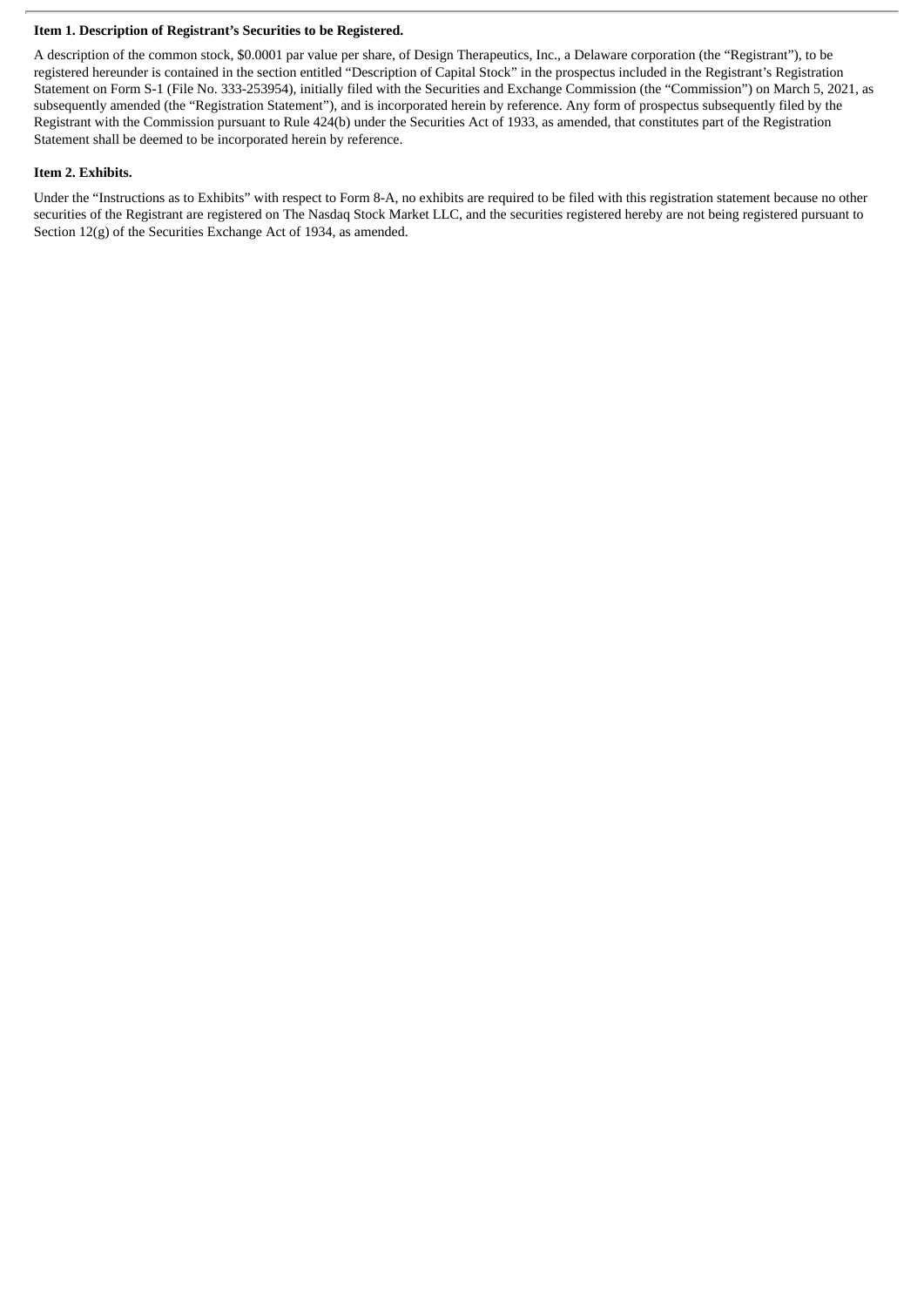#### **Item 1. Description of Registrant's Securities to be Registered.**

A description of the common stock, \$0.0001 par value per share, of Design Therapeutics, Inc., a Delaware corporation (the "Registrant"), to be registered hereunder is contained in the section entitled "Description of Capital Stock" in the prospectus included in the Registrant's Registration Statement on Form S-1 (File No. 333-253954), initially filed with the Securities and Exchange Commission (the "Commission") on March 5, 2021, as subsequently amended (the "Registration Statement"), and is incorporated herein by reference. Any form of prospectus subsequently filed by the Registrant with the Commission pursuant to Rule 424(b) under the Securities Act of 1933, as amended, that constitutes part of the Registration Statement shall be deemed to be incorporated herein by reference.

#### **Item 2. Exhibits.**

Under the "Instructions as to Exhibits" with respect to Form 8-A, no exhibits are required to be filed with this registration statement because no other securities of the Registrant are registered on The Nasdaq Stock Market LLC, and the securities registered hereby are not being registered pursuant to Section 12(g) of the Securities Exchange Act of 1934, as amended.